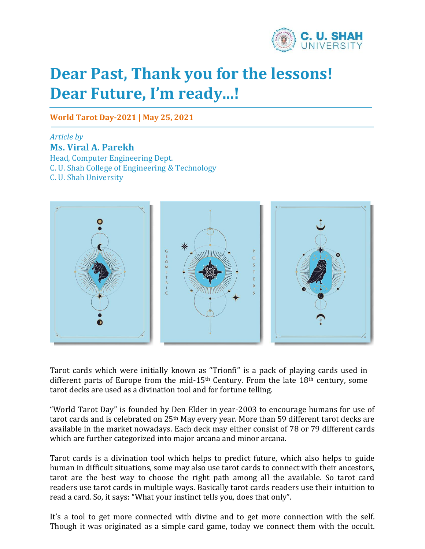

## **Dear Past, Thank you for the lessons! Dear Future, I'm ready...!**

**World Tarot Day-2021 | May 25, 2021**

*Article by* **Ms. Viral A. Parekh** Head, Computer Engineering Dept. C. U. Shah College of Engineering & Technology C. U. Shah University



Tarot cards which were initially known as "Trionfi" is a pack of playing cards used in different parts of Europe from the mid-15<sup>th</sup> Century. From the late  $18<sup>th</sup>$  century, some tarot decks are used as a divination tool and for fortune telling.

"World Tarot Day" is founded by Den Elder in year-2003 to encourage humans for use of tarot cards and is celebrated on 25<sup>th</sup> May every year. More than 59 different tarot decks are available in the market nowadays. Each deck may either consist of 78 or 79 different cards which are further categorized into major arcana and minor arcana.

Tarot cards is a divination tool which helps to predict future, which also helps to guide human in difficult situations, some may also use tarot cards to connect with their ancestors, tarot are the best way to choose the right path among all the available. So tarot card readers use tarot cards in multiple ways. Basically tarot cards readers use their intuition to read a card. So, it says: "What your instinct tells you, does that only".

It's a tool to get more connected with divine and to get more connection with the self. Though it was originated as a simple card game, today we connect them with the occult.